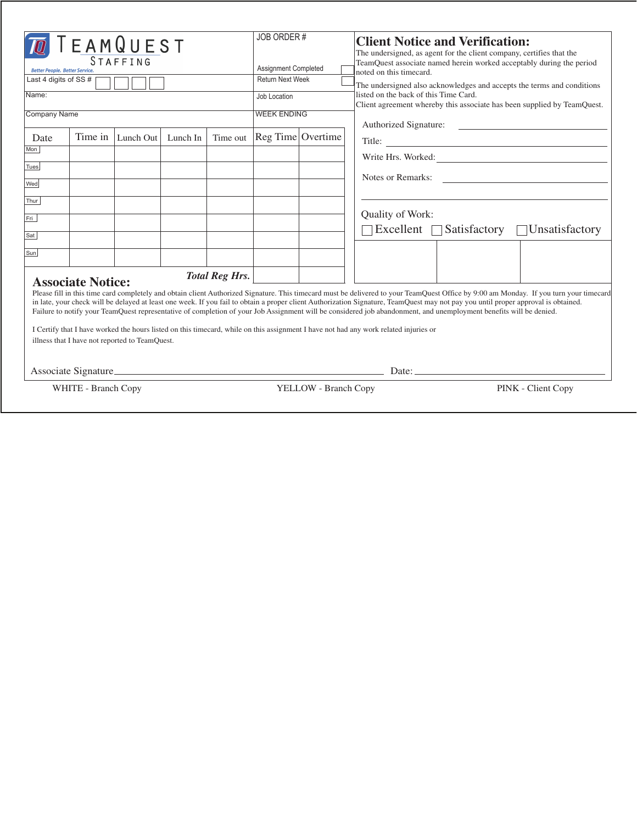| TEAMQUEST<br><b>STAFFING</b><br><b>Better People, Better Service,</b><br>Last 4 digits of SS#<br>Name:<br>Company Name                                                                                                                                                                                                                                                                                                                                                                                                                                                                                                                                                                                                                                                                                                                            | JOB ORDER#<br>Assignment Completed<br><b>Return Next Week</b><br>Job Location<br><b>WEEK ENDING</b> |  | <b>Client Notice and Verification:</b><br>The undersigned, as agent for the client company, certifies that the<br>TeamQuest associate named herein worked acceptably during the period<br>noted on this timecard.<br>The undersigned also acknowledges and accepts the terms and conditions<br>listed on the back of this Time Card.<br>Client agreement whereby this associate has been supplied by TeamQuest.<br>Authorized Signature: |
|---------------------------------------------------------------------------------------------------------------------------------------------------------------------------------------------------------------------------------------------------------------------------------------------------------------------------------------------------------------------------------------------------------------------------------------------------------------------------------------------------------------------------------------------------------------------------------------------------------------------------------------------------------------------------------------------------------------------------------------------------------------------------------------------------------------------------------------------------|-----------------------------------------------------------------------------------------------------|--|------------------------------------------------------------------------------------------------------------------------------------------------------------------------------------------------------------------------------------------------------------------------------------------------------------------------------------------------------------------------------------------------------------------------------------------|
| Time in   Lunch Out  <br>Lunch In<br>Time out<br>Date                                                                                                                                                                                                                                                                                                                                                                                                                                                                                                                                                                                                                                                                                                                                                                                             | Reg Time Overtime                                                                                   |  |                                                                                                                                                                                                                                                                                                                                                                                                                                          |
| Mon                                                                                                                                                                                                                                                                                                                                                                                                                                                                                                                                                                                                                                                                                                                                                                                                                                               |                                                                                                     |  | Write Hrs. Worked:                                                                                                                                                                                                                                                                                                                                                                                                                       |
| Tues<br>Wed                                                                                                                                                                                                                                                                                                                                                                                                                                                                                                                                                                                                                                                                                                                                                                                                                                       |                                                                                                     |  | Notes or Remarks:                                                                                                                                                                                                                                                                                                                                                                                                                        |
| Thur                                                                                                                                                                                                                                                                                                                                                                                                                                                                                                                                                                                                                                                                                                                                                                                                                                              |                                                                                                     |  |                                                                                                                                                                                                                                                                                                                                                                                                                                          |
| Fri                                                                                                                                                                                                                                                                                                                                                                                                                                                                                                                                                                                                                                                                                                                                                                                                                                               |                                                                                                     |  | Quality of Work:<br>Excellent $\Box$ Satisfactory $\Box$ Unsatisfactory                                                                                                                                                                                                                                                                                                                                                                  |
| Sat                                                                                                                                                                                                                                                                                                                                                                                                                                                                                                                                                                                                                                                                                                                                                                                                                                               |                                                                                                     |  |                                                                                                                                                                                                                                                                                                                                                                                                                                          |
| Sun                                                                                                                                                                                                                                                                                                                                                                                                                                                                                                                                                                                                                                                                                                                                                                                                                                               |                                                                                                     |  |                                                                                                                                                                                                                                                                                                                                                                                                                                          |
| <b>Total Reg Hrs.</b><br><b>Associate Notice:</b><br>Please fill in this time card completely and obtain client Authorized Signature. This timecard must be delivered to your TeamQuest Office by 9:00 am Monday. If you turn your timecard<br>in late, your check will be delayed at least one week. If you fail to obtain a proper client Authorization Signature, TeamQuest may not pay you until proper approval is obtained.<br>Failure to notify your TeamQuest representative of completion of your Job Assignment will be considered job abandonment, and unemployment benefits will be denied.<br>I Certify that I have worked the hours listed on this timecard, while on this assignment I have not had any work related injuries or<br>illness that I have not reported to TeamQuest.<br>Date: $\qquad \qquad$<br>Associate Signature |                                                                                                     |  |                                                                                                                                                                                                                                                                                                                                                                                                                                          |
| WHITE - Branch Copy<br>YELLOW - Branch Copy                                                                                                                                                                                                                                                                                                                                                                                                                                                                                                                                                                                                                                                                                                                                                                                                       |                                                                                                     |  | PINK - Client Copy                                                                                                                                                                                                                                                                                                                                                                                                                       |